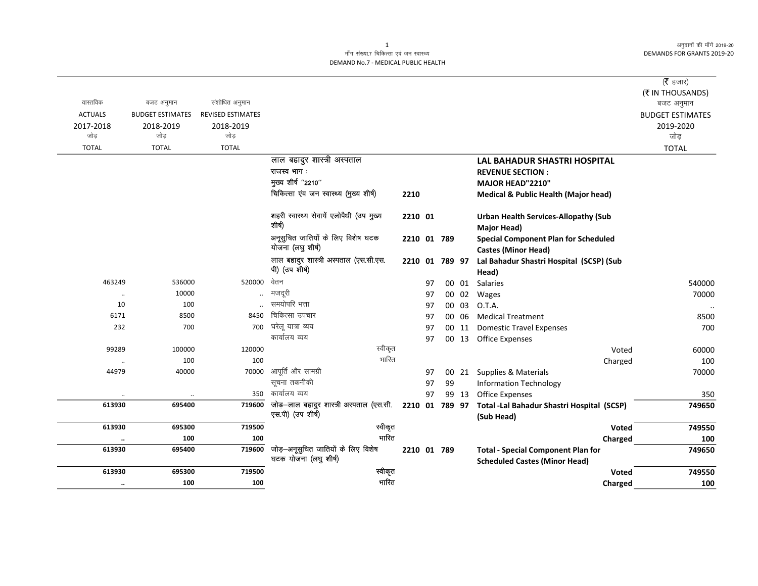अनुदानों की माँगें 2019-20 **DEMANDS FOR GRANTS 2019-20** 

## माँग संख्या.7 चिकित्सा एवं जन स्वास्थ्य DEMAND No.7 - MEDICAL PUBLIC HEALTH

|                |                         |                          |                                                               |                |    |    |       |                                                          | ( $\bar{\tau}$ हजार)    |
|----------------|-------------------------|--------------------------|---------------------------------------------------------------|----------------|----|----|-------|----------------------------------------------------------|-------------------------|
|                |                         |                          |                                                               |                |    |    |       |                                                          | (₹ IN THOUSANDS)        |
| वास्तविक       | बजट अनुमान              | संशोधित अनुमान           |                                                               |                |    |    |       |                                                          | बजट अनुमान              |
| <b>ACTUALS</b> | <b>BUDGET ESTIMATES</b> | <b>REVISED ESTIMATES</b> |                                                               |                |    |    |       |                                                          | <b>BUDGET ESTIMATES</b> |
| 2017-2018      | 2018-2019               | 2018-2019                |                                                               |                |    |    |       |                                                          | 2019-2020               |
| जोड़           | जोड                     | जोड                      |                                                               |                |    |    |       |                                                          | जोड़                    |
| <b>TOTAL</b>   | <b>TOTAL</b>            | <b>TOTAL</b>             |                                                               |                |    |    |       |                                                          | <b>TOTAL</b>            |
|                |                         |                          | लाल बहादुर शास्त्री अस्पताल                                   |                |    |    |       | <b>LAL BAHADUR SHASTRI HOSPITAL</b>                      |                         |
|                |                         |                          | राजस्व भाग:                                                   |                |    |    |       | <b>REVENUE SECTION:</b>                                  |                         |
|                |                         |                          | मुख्य शीर्ष "2210"                                            |                |    |    |       | MAJOR HEAD"2210"                                         |                         |
|                |                         |                          | चिकित्सा एंव जन स्वास्थ्य (मुख्य शीर्ष)                       | 2210           |    |    |       | <b>Medical &amp; Public Health (Major head)</b>          |                         |
|                |                         |                          | शहरी स्वास्थ्य सेवायें एलोपैथी (उप मुख्य                      | 2210 01        |    |    |       | <b>Urban Health Services-Allopathy (Sub</b>              |                         |
|                |                         |                          | शीर्ष)                                                        |                |    |    |       | Major Head)                                              |                         |
|                |                         |                          | अनूसुचित जातियों के लिए विशेष घटक                             | 2210 01 789    |    |    |       | <b>Special Component Plan for Scheduled</b>              |                         |
|                |                         |                          | योजना (लघु शीर्ष)                                             |                |    |    |       | <b>Castes (Minor Head)</b>                               |                         |
|                |                         |                          | लाल बहादुर शास्त्री अस्पताल (एस.सी.एस.                        | 2210 01 789 97 |    |    |       | Lal Bahadur Shastri Hospital (SCSP) (Sub                 |                         |
|                |                         |                          | पी) (उप शीर्ष)                                                |                |    |    |       | Head)                                                    |                         |
| 463249         | 536000                  | 520000                   | वेतन                                                          |                | 97 |    | 00 01 | Salaries                                                 | 540000                  |
| $\ddotsc$      | 10000                   |                          | मजदूरी                                                        |                | 97 | 00 | 02    | Wages                                                    | 70000                   |
| 10             | 100                     |                          | समयोपरि भत्ता                                                 |                | 97 | 00 | 03    | O.T.A.                                                   | $\ldots$                |
| 6171           | 8500                    | 8450                     | चिकित्सा उपचार                                                |                | 97 | 00 | 06    | <b>Medical Treatment</b>                                 | 8500                    |
| 232            | 700                     | 700                      | घरेलू यात्रा व्यय                                             |                | 97 | 00 | 11    | <b>Domestic Travel Expenses</b>                          | 700                     |
|                |                         |                          | कार्यालय व्यय                                                 |                | 97 |    |       | 00 13 Office Expenses                                    |                         |
| 99289          | 100000                  | 120000                   | स्वीकृत                                                       |                |    |    |       | Voted                                                    | 60000                   |
| $\ddotsc$      | 100                     | 100                      | भारित                                                         |                |    |    |       | Charged                                                  | 100                     |
| 44979          | 40000                   | 70000                    | आपूर्ति और सामग्री                                            |                | 97 |    |       | 00 21 Supplies & Materials                               | 70000                   |
|                |                         |                          | सूचना तकनीकी                                                  |                | 97 | 99 |       | <b>Information Technology</b>                            |                         |
|                | $\ddotsc$               | 350                      | कार्यालय व्यय                                                 |                | 97 |    | 99 13 | Office Expenses                                          | 350                     |
| 613930         | 695400                  | 719600                   | जोड़–लाल बहादुर शास्त्री अस्पताल (एस.सी.<br>एस.पी) (उप शीर्ष) | 2210 01 789 97 |    |    |       | Total -Lal Bahadur Shastri Hospital (SCSP)<br>(Sub Head) | 749650                  |
| 613930         | 695300                  | 719500                   | स्वीकृत                                                       |                |    |    |       | Voted                                                    | 749550                  |
| $\ddotsc$      | 100                     | 100                      | भारित                                                         |                |    |    |       | Charged                                                  | 100                     |
| 613930         | 695400                  | 719600                   | जोड़-अनूसुचित जातियों के लिए विशेष                            | 2210 01 789    |    |    |       | <b>Total - Special Component Plan for</b>                | 749650                  |
|                |                         |                          | घटक योजना (लघु शीर्ष)                                         |                |    |    |       | <b>Scheduled Castes (Minor Head)</b>                     |                         |
| 613930         | 695300                  | 719500                   | स्वीकृत                                                       |                |    |    |       | <b>Voted</b>                                             | 749550                  |
| $\ddotsc$      | 100                     | 100                      | भारित                                                         |                |    |    |       | Charged                                                  | 100                     |

 $\mathbf{1}$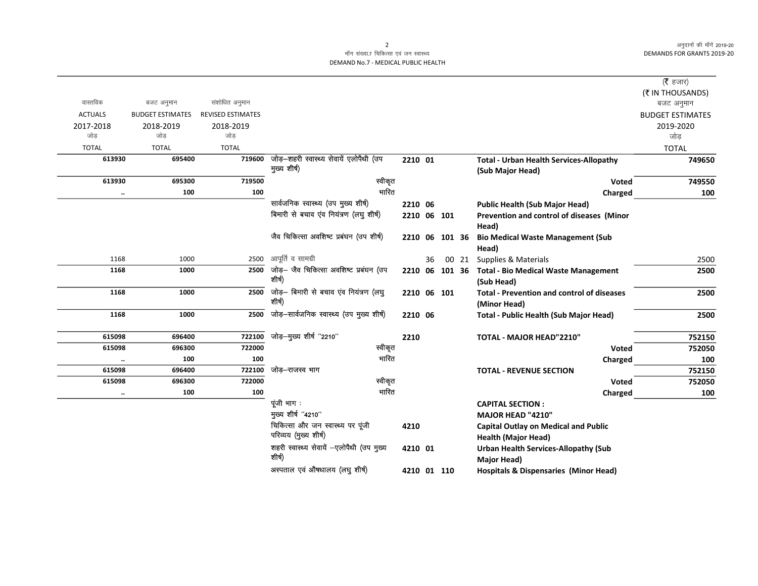अनुदानों की माँगें 2019-20 **DEMANDS FOR GRANTS 2019-20** 

 $\overline{\phantom{0}}$ 

## माँग संख्या.7 चिकित्सा एवं जन स्वास्थ्य DEMAND No.7 - MEDICAL PUBLIC HEALTH

|                      |                         |                          |                                                         |             |    |                |       |                                                                    | (रै हजार)               |
|----------------------|-------------------------|--------------------------|---------------------------------------------------------|-------------|----|----------------|-------|--------------------------------------------------------------------|-------------------------|
|                      |                         |                          |                                                         |             |    |                |       |                                                                    | (₹ IN THOUSANDS)        |
| वास्तविक             | बजट अनुमान              | संशोधित अनुमान           |                                                         |             |    |                |       |                                                                    | बजट अनुमान              |
| <b>ACTUALS</b>       | <b>BUDGET ESTIMATES</b> | <b>REVISED ESTIMATES</b> |                                                         |             |    |                |       |                                                                    | <b>BUDGET ESTIMATES</b> |
| 2017-2018            | 2018-2019               | 2018-2019                |                                                         |             |    |                |       |                                                                    | 2019-2020               |
| जोड                  | जोड                     | जोड                      |                                                         |             |    |                |       |                                                                    | जोड                     |
| <b>TOTAL</b>         | <b>TOTAL</b>            | <b>TOTAL</b>             |                                                         |             |    |                |       |                                                                    | <b>TOTAL</b>            |
| 613930               | 695400                  | 719600                   | जोड़-शहरी स्वास्थ्य सेवायें एलोपैथी (उप<br>मुख्य शीर्ष) | 2210 01     |    |                |       | <b>Total - Urban Health Services-Allopathy</b><br>(Sub Major Head) | 749650                  |
| 613930               | 695300                  | 719500                   | स्वीकृत                                                 |             |    |                |       | Voted                                                              | 749550                  |
| $\ldots$             | 100                     | 100                      | भारित                                                   |             |    |                |       | Charged                                                            | 100                     |
|                      |                         |                          | सार्वजनिक स्वास्थ्य (उप मुख्य शीर्ष)                    | 2210 06     |    |                |       | <b>Public Health (Sub Major Head)</b>                              |                         |
|                      |                         |                          | बिमारी से बचाव एंव नियंत्रण (लघु शीर्ष)                 |             |    | 2210 06 101    |       | Prevention and control of diseases (Minor                          |                         |
|                      |                         |                          |                                                         |             |    |                |       | Head)                                                              |                         |
|                      |                         |                          | जैव चिकित्सा अवशिष्ट प्रबंघन (उप शीर्ष)                 |             |    | 2210 06 101 36 |       | <b>Bio Medical Waste Management (Sub</b>                           |                         |
|                      |                         |                          |                                                         |             |    |                |       | Head)                                                              |                         |
| 1168                 | 1000                    | 2500                     | आपूर्ति व सामग्री                                       |             | 36 |                | 00 21 | Supplies & Materials                                               | 2500                    |
| 1168                 | 1000                    | 2500                     | जोड़— जैव चिकित्सा अवशिष्ट प्रबंघन (उप                  |             |    | 2210 06 101 36 |       | <b>Total - Bio Medical Waste Management</b>                        | 2500                    |
|                      |                         |                          | शीर्ष)                                                  |             |    |                |       | (Sub Head)                                                         |                         |
| 1168                 | 1000                    | 2500                     | जोड़- बिमारी से बचाव एव नियंत्रण (लघु<br>शीर्ष)         | 2210 06 101 |    |                |       | <b>Total - Prevention and control of diseases</b><br>(Minor Head)  | 2500                    |
| 1168                 | 1000                    | 2500                     | जोड़-सार्वजनिक स्वास्थ्य (उप मुख्य शीर्ष)               | 2210 06     |    |                |       | Total - Public Health (Sub Major Head)                             | 2500                    |
|                      |                         |                          |                                                         |             |    |                |       |                                                                    |                         |
| 615098               | 696400                  | 722100                   | जोड़-मुख्य शीर्ष "2210"                                 | 2210        |    |                |       | TOTAL - MAJOR HEAD"2210"                                           | 752150                  |
| 615098               | 696300                  | 722000                   | स्वीकृत                                                 |             |    |                |       | Voted                                                              | 752050                  |
| $\ddot{\phantom{0}}$ | 100                     | 100                      | भारित                                                   |             |    |                |       | Charged                                                            | 100                     |
| 615098               | 696400                  | 722100                   | जोड–राजस्व भाग                                          |             |    |                |       | <b>TOTAL - REVENUE SECTION</b>                                     | 752150                  |
| 615098               | 696300                  | 722000                   | स्वीकृत                                                 |             |    |                |       | Voted                                                              | 752050                  |
| $\ddot{\phantom{0}}$ | 100                     | 100                      | भारित                                                   |             |    |                |       | Charged                                                            | 100                     |
|                      |                         |                          | पूंजी भाग :                                             |             |    |                |       | <b>CAPITAL SECTION:</b>                                            |                         |
|                      |                         |                          | मुख्य शीर्ष "4210"                                      |             |    |                |       | MAJOR HEAD "4210"                                                  |                         |
|                      |                         |                          | चिकित्सा और जन स्वास्थ्य पर पूंजी                       | 4210        |    |                |       | <b>Capital Outlay on Medical and Public</b>                        |                         |
|                      |                         |                          | परिव्यय (मुख्य शीर्ष)                                   |             |    |                |       | <b>Health (Major Head)</b>                                         |                         |
|                      |                         |                          | शहरी स्वास्थ्य सेवायें -एलोपैथी (उप मुख्य               | 4210 01     |    |                |       | <b>Urban Health Services-Allopathy (Sub</b>                        |                         |
|                      |                         |                          | शीर्ष)                                                  |             |    |                |       | <b>Major Head)</b>                                                 |                         |
|                      |                         |                          | अस्पताल एवं औषधालय (लघु शीर्ष)                          |             |    | 4210 01 110    |       | <b>Hospitals &amp; Dispensaries (Minor Head)</b>                   |                         |

 $\overline{2}$